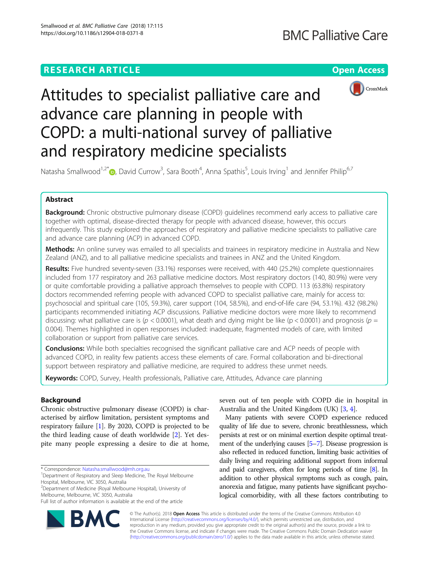## **RESEARCH ARTICLE Example 2014 12:30 The Contract of Contract ACCESS**



# Attitudes to specialist palliative care and advance care planning in people with COPD: a multi-national survey of palliative and respiratory medicine specialists

Natasha Smallwood<sup>1,2[\\*](http://orcid.org/0000-0002-3403-3586)</sup>®, David Currow<sup>3</sup>, Sara Booth<sup>4</sup>, Anna Spathis<sup>5</sup>, Louis Irving<sup>1</sup> and Jennifer Philip<sup>6,7</sup>

## Abstract

Background: Chronic obstructive pulmonary disease (COPD) guidelines recommend early access to palliative care together with optimal, disease-directed therapy for people with advanced disease, however, this occurs infrequently. This study explored the approaches of respiratory and palliative medicine specialists to palliative care and advance care planning (ACP) in advanced COPD.

Methods: An online survey was emailed to all specialists and trainees in respiratory medicine in Australia and New Zealand (ANZ), and to all palliative medicine specialists and trainees in ANZ and the United Kingdom.

Results: Five hundred seventy-seven (33.1%) responses were received, with 440 (25.2%) complete questionnaires included from 177 respiratory and 263 palliative medicine doctors. Most respiratory doctors (140, 80.9%) were very or quite comfortable providing a palliative approach themselves to people with COPD. 113 (63.8%) respiratory doctors recommended referring people with advanced COPD to specialist palliative care, mainly for access to: psychosocial and spiritual care (105, 59.3%), carer support (104, 58.5%), and end-of-life care (94, 53.1%). 432 (98.2%) participants recommended initiating ACP discussions. Palliative medicine doctors were more likely to recommend discussing: what palliative care is ( $p < 0.0001$ ), what death and dying might be like ( $p < 0.0001$ ) and prognosis ( $p =$ 0.004). Themes highlighted in open responses included: inadequate, fragmented models of care, with limited collaboration or support from palliative care services.

**Conclusions:** While both specialties recognised the significant palliative care and ACP needs of people with advanced COPD, in reality few patients access these elements of care. Formal collaboration and bi-directional support between respiratory and palliative medicine, are required to address these unmet needs.

Keywords: COPD, Survey, Health professionals, Palliative care, Attitudes, Advance care planning

## Background

Chronic obstructive pulmonary disease (COPD) is characterised by airflow limitation, persistent symptoms and respiratory failure [\[1](#page-6-0)]. By 2020, COPD is projected to be the third leading cause of death worldwide [\[2](#page-6-0)]. Yet despite many people expressing a desire to die at home,

\* Correspondence: [Natasha.smallwood@mh.org.au](mailto:Natasha.smallwood@mh.org.au) <sup>1</sup>

<sup>1</sup>Department of Respiratory and Sleep Medicine, The Royal Melbourne Hospital, Melbourne, VIC 3050, Australia

2 Department of Medicine (Royal Melbourne Hospital), University of Melbourne, Melbourne, VIC 3050, Australia

Full list of author information is available at the end of the article



seven out of ten people with COPD die in hospital in Australia and the United Kingdom (UK) [[3,](#page-6-0) [4\]](#page-6-0).

Many patients with severe COPD experience reduced quality of life due to severe, chronic breathlessness, which persists at rest or on minimal exertion despite optimal treatment of the underlying causes [\[5](#page-6-0)–[7](#page-6-0)]. Disease progression is also reflected in reduced function, limiting basic activities of daily living and requiring additional support from informal and paid caregivers, often for long periods of time [\[8](#page-6-0)]. In addition to other physical symptoms such as cough, pain, anorexia and fatigue, many patients have significant psychological comorbidity, with all these factors contributing to

© The Author(s). 2018 Open Access This article is distributed under the terms of the Creative Commons Attribution 4.0 International License [\(http://creativecommons.org/licenses/by/4.0/](http://creativecommons.org/licenses/by/4.0/)), which permits unrestricted use, distribution, and reproduction in any medium, provided you give appropriate credit to the original author(s) and the source, provide a link to the Creative Commons license, and indicate if changes were made. The Creative Commons Public Domain Dedication waiver [\(http://creativecommons.org/publicdomain/zero/1.0/](http://creativecommons.org/publicdomain/zero/1.0/)) applies to the data made available in this article, unless otherwise stated.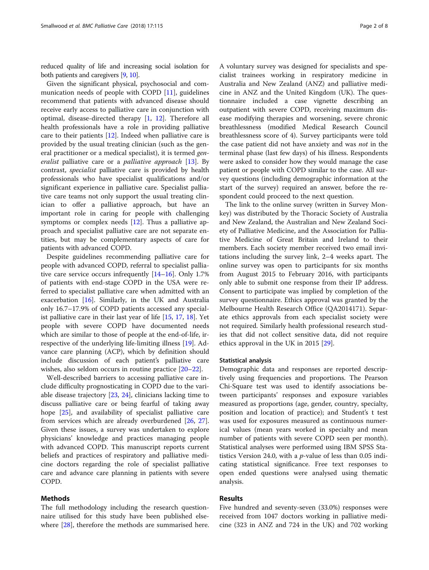reduced quality of life and increasing social isolation for both patients and caregivers [\[9](#page-6-0), [10\]](#page-6-0).

Given the significant physical, psychosocial and communication needs of people with COPD [[11\]](#page-6-0), guidelines recommend that patients with advanced disease should receive early access to palliative care in conjunction with optimal, disease-directed therapy [[1,](#page-6-0) [12\]](#page-6-0). Therefore all health professionals have a role in providing palliative care to their patients  $[12]$  $[12]$ . Indeed when palliative care is provided by the usual treating clinician (such as the general practitioner or a medical specialist), it is termed generalist palliative care or a *palliative approach* [[13](#page-6-0)]. By contrast, specialist palliative care is provided by health professionals who have specialist qualifications and/or significant experience in palliative care. Specialist palliative care teams not only support the usual treating clinician to offer a palliative approach, but have an important role in caring for people with challenging symptoms or complex needs [[12](#page-6-0)]. Thus a palliative approach and specialist palliative care are not separate entities, but may be complementary aspects of care for patients with advanced COPD.

Despite guidelines recommending palliative care for people with advanced COPD, referral to specialist palliative care service occurs infrequently [[14](#page-6-0)–[16](#page-6-0)]. Only 1.7% of patients with end-stage COPD in the USA were referred to specialist palliative care when admitted with an exacerbation [\[16](#page-6-0)]. Similarly, in the UK and Australia only 16.7–17.9% of COPD patients accessed any specialist palliative care in their last year of life [[15](#page-6-0), [17](#page-6-0), [18](#page-6-0)]. Yet people with severe COPD have documented needs which are similar to those of people at the end-of-life, irrespective of the underlying life-limiting illness [[19](#page-6-0)]. Advance care planning (ACP), which by definition should include discussion of each patient's palliative care wishes, also seldom occurs in routine practice [\[20](#page-6-0)–[22\]](#page-6-0).

Well-described barriers to accessing palliative care include difficulty prognosticating in COPD due to the variable disease trajectory [[23](#page-6-0), [24\]](#page-6-0), clinicians lacking time to discuss palliative care or being fearful of taking away hope [\[25](#page-6-0)], and availability of specialist palliative care from services which are already overburdened [\[26](#page-7-0), [27](#page-7-0)]. Given these issues, a survey was undertaken to explore physicians' knowledge and practices managing people with advanced COPD. This manuscript reports current beliefs and practices of respiratory and palliative medicine doctors regarding the role of specialist palliative care and advance care planning in patients with severe COPD.

## Methods

The full methodology including the research questionnaire utilised for this study have been published elsewhere [[28\]](#page-7-0), therefore the methods are summarised here.

A voluntary survey was designed for specialists and specialist trainees working in respiratory medicine in Australia and New Zealand (ANZ) and palliative medicine in ANZ and the United Kingdom (UK). The questionnaire included a case vignette describing an outpatient with severe COPD, receiving maximum disease modifying therapies and worsening, severe chronic breathlessness (modified Medical Research Council breathlessness score of 4). Survey participants were told the case patient did not have anxiety and was not in the terminal phase (last few days) of his illness. Respondents were asked to consider how they would manage the case patient or people with COPD similar to the case. All survey questions (including demographic information at the start of the survey) required an answer, before the re-

The link to the online survey (written in Survey Monkey) was distributed by the Thoracic Society of Australia and New Zealand, the Australian and New Zealand Society of Palliative Medicine, and the Association for Palliative Medicine of Great Britain and Ireland to their members. Each society member received two email invitations including the survey link, 2–4 weeks apart. The online survey was open to participants for six months from August 2015 to February 2016, with participants only able to submit one response from their IP address. Consent to participate was implied by completion of the survey questionnaire. Ethics approval was granted by the Melbourne Health Research Office (QA2014171). Separate ethics approvals from each specialist society were not required. Similarly health professional research studies that did not collect sensitive data, did not require ethics approval in the UK in 2015 [\[29](#page-7-0)].

spondent could proceed to the next question.

#### Statistical analysis

Demographic data and responses are reported descriptively using frequencies and proportions. The Pearson Chi-Square test was used to identify associations between participants' responses and exposure variables measured as proportions (age, gender, country, specialty, position and location of practice); and Student's t test was used for exposures measured as continuous numerical values (mean years worked in specialty and mean number of patients with severe COPD seen per month). Statistical analyses were performed using IBM SPSS Statistics Version 24.0, with a  $p$ -value of less than 0.05 indicating statistical significance. Free text responses to open ended questions were analysed using thematic analysis.

## Results

Five hundred and seventy-seven (33.0%) responses were received from 1047 doctors working in palliative medicine (323 in ANZ and 724 in the UK) and 702 working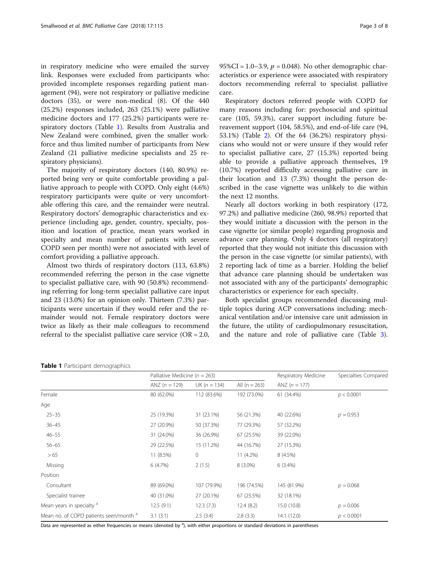in respiratory medicine who were emailed the survey link. Responses were excluded from participants who: provided incomplete responses regarding patient management (94), were not respiratory or palliative medicine doctors (35), or were non-medical (8). Of the 440 (25.2%) responses included, 263 (25.1%) were palliative medicine doctors and 177 (25.2%) participants were respiratory doctors (Table 1). Results from Australia and New Zealand were combined, given the smaller workforce and thus limited number of participants from New Zealand (21 palliative medicine specialists and 25 respiratory physicians).

The majority of respiratory doctors (140, 80.9%) reported being very or quite comfortable providing a palliative approach to people with COPD. Only eight (4.6%) respiratory participants were quite or very uncomfortable offering this care, and the remainder were neutral. Respiratory doctors' demographic characteristics and experience (including age, gender, country, specialty, position and location of practice, mean years worked in specialty and mean number of patients with severe COPD seen per month) were not associated with level of comfort providing a palliative approach.

Almost two thirds of respiratory doctors (113, 63.8%) recommended referring the person in the case vignette to specialist palliative care, with 90 (50.8%) recommending referring for long-term specialist palliative care input and 23 (13.0%) for an opinion only. Thirteen (7.3%) participants were uncertain if they would refer and the remainder would not. Female respiratory doctors were twice as likely as their male colleagues to recommend referral to the specialist palliative care service  $(OR = 2.0,$  95%CI = 1.0–3.9,  $p = 0.048$ ). No other demographic characteristics or experience were associated with respiratory doctors recommending referral to specialist palliative care.

Respiratory doctors referred people with COPD for many reasons including for: psychosocial and spiritual care (105, 59.3%), carer support including future bereavement support (104, 58.5%), and end-of-life care (94, 53.1%) (Table [2\)](#page-3-0). Of the 64 (36.2%) respiratory physicians who would not or were unsure if they would refer to specialist palliative care, 27 (15.3%) reported being able to provide a palliative approach themselves, 19 (10.7%) reported difficulty accessing palliative care in their location and 13 (7.3%) thought the person described in the case vignette was unlikely to die within the next 12 months.

Nearly all doctors working in both respiratory (172, 97.2%) and palliative medicine (260, 98.9%) reported that they would initiate a discussion with the person in the case vignette (or similar people) regarding prognosis and advance care planning. Only 4 doctors (all respiratory) reported that they would not initiate this discussion with the person in the case vignette (or similar patients), with 2 reporting lack of time as a barrier. Holding the belief that advance care planning should be undertaken was not associated with any of the participants' demographic characteristics or experience for each specialty.

Both specialist groups recommended discussing multiple topics during ACP conversations including: mechanical ventilation and/or intensive care unit admission in the future, the utility of cardiopulmonary resuscitation, and the nature and role of palliative care (Table [3](#page-4-0)).

|                                        | Palliative Medicine ( $n = 263$ ) |                |                 | Respiratory Medicine | Specialties Compared |
|----------------------------------------|-----------------------------------|----------------|-----------------|----------------------|----------------------|
|                                        | ANZ $(n = 129)$                   | UK $(n = 134)$ | All $(n = 263)$ | ANZ $(n = 177)$      |                      |
| Female                                 | 80 (62.0%)                        | 112 (83.6%)    | 192 (73.0%)     | 61 (34.4%)           | p < 0.0001           |
| Age                                    |                                   |                |                 |                      |                      |
| $25 - 35$                              | 25 (19.3%)                        | 31 (23.1%)     | 56 (21.3%)      | 40 (22.6%)           | $p = 0.953$          |
| $36 - 45$                              | 27 (20.9%)                        | 50 (37.3%)     | 77 (29.3%)      | 57 (32.2%)           |                      |
| $46 - 55$                              | 31 (24.0%)                        | 36 (26.9%)     | 67 (25.5%)      | 39 (22.0%)           |                      |
| $56 - 65$                              | 29 (22.5%)                        | 15 (11.2%)     | 44 (16.7%)      | 27 (15.3%)           |                      |
| > 65                                   | 11 (8.5%)                         | $\circ$        | 11 (4.2%)       | 8 (4.5%)             |                      |
| Missing                                | 6(4.7%)                           | 2(1.5)         | $8(3.0\%)$      | $6(3.4\%)$           |                      |
| Position                               |                                   |                |                 |                      |                      |
| Consultant                             | 89 (69.0%)                        | 107 (79.9%)    | 196 (74.5%)     | 145 (81.9%)          | $p = 0.068$          |
| Specialist trainee                     | 40 (31.0%)                        | 27 (20.1%)     | 67 (25.5%)      | 32 (18.1%)           |                      |
| Mean years in specialty <sup>a</sup>   | 12.5(9.1)                         | 12.3(7.3)      | 12.4(8.2)       | 15.0 (10.8)          | $p = 0.006$          |
| Mean no. of COPD patients seen/month a | 3.1(3.1)                          | 2.5(3.4)       | 2.8(3.3)        | 14.1 (12.0)          | p < 0.0001           |

#### Table 1 Participant demographics

Data are represented as either frequencies or means (denoted by <sup>a</sup>), with either proportions or standard deviations in parentheses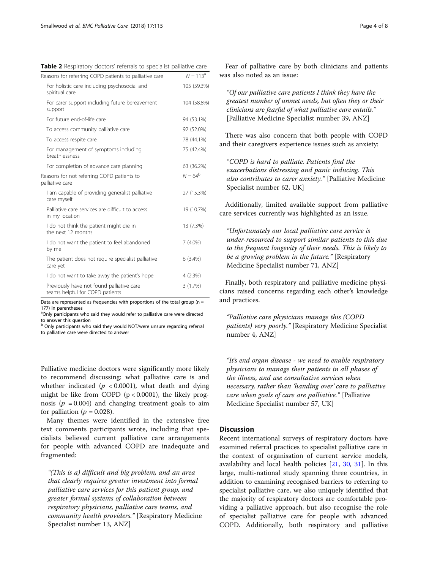<span id="page-3-0"></span>

| Reasons for referring COPD patients to palliative care                       | $N = 113^a$ |
|------------------------------------------------------------------------------|-------------|
| For holistic care including psychosocial and<br>spiritual care               | 105 (59.3%) |
| For carer support including future bereavement<br>support                    | 104 (58.8%) |
| For future end-of-life care                                                  | 94 (53.1%)  |
| To access community palliative care                                          | 92 (52.0%)  |
| To access respite care                                                       | 78 (44.1%)  |
| For management of symptoms including<br>breathlessness                       | 75 (42.4%)  |
| For completion of advance care planning                                      | 63 (36.2%)  |
| Reasons for not referring COPD patients to<br>palliative care                | $N = 64^b$  |
| I am capable of providing generalist palliative<br>care myself               | 27 (15.3%)  |
| Palliative care services are difficult to access<br>in my location           | 19 (10.7%)  |
| I do not think the patient might die in<br>the next 12 months                | 13 (7.3%)   |
| I do not want the patient to feel abandoned<br>by me                         | $7(4.0\%)$  |
| The patient does not require specialist palliative<br>care yet               | 6(3.4%)     |
| I do not want to take away the patient's hope                                | 4(2.3%)     |
| Previously have not found palliative care<br>teams helpful for COPD patients | 3(1.7%)     |

Data are represented as frequencies with proportions of the total group ( $n =$ 177) in parentheses

<sup>a</sup>Only participants who said they would refer to palliative care were directed to answer this question

b Only participants who said they would NOT/were unsure regarding referral to palliative care were directed to answer

Palliative medicine doctors were significantly more likely to recommend discussing: what palliative care is and whether indicated ( $p < 0.0001$ ), what death and dying might be like from COPD  $(p < 0.0001)$ , the likely prognosis ( $p = 0.004$ ) and changing treatment goals to aim for palliation ( $p = 0.028$ ).

Many themes were identified in the extensive free text comments participants wrote, including that specialists believed current palliative care arrangements for people with advanced COPD are inadequate and fragmented:

"(This is a) difficult and big problem, and an area that clearly requires greater investment into formal palliative care services for this patient group, and greater formal systems of collaboration between respiratory physicians, palliative care teams, and community health providers." [Respiratory Medicine Specialist number 13, ANZ]

Fear of palliative care by both clinicians and patients was also noted as an issue:

"Of our palliative care patients I think they have the greatest number of unmet needs, but often they or their clinicians are fearful of what palliative care entails." [Palliative Medicine Specialist number 39, ANZ]

There was also concern that both people with COPD and their caregivers experience issues such as anxiety:

"COPD is hard to palliate. Patients find the exacerbations distressing and panic inducing. This also contributes to carer anxiety." [Palliative Medicine Specialist number 62, UK]

Additionally, limited available support from palliative care services currently was highlighted as an issue.

"Unfortunately our local palliative care service is under-resourced to support similar patients to this due to the frequent longevity of their needs. This is likely to be a growing problem in the future." [Respiratory Medicine Specialist number 71, ANZ]

Finally, both respiratory and palliative medicine physicians raised concerns regarding each other's knowledge and practices.

"Palliative care physicians manage this (COPD patients) very poorly." [Respiratory Medicine Specialist number 4, ANZ]

"It's end organ disease - we need to enable respiratory physicians to manage their patients in all phases of the illness, and use consultative services when necessary, rather than 'handing over' care to palliative care when goals of care are palliative." [Palliative Medicine Specialist number 57, UK]

## **Discussion**

Recent international surveys of respiratory doctors have examined referral practices to specialist palliative care in the context of organisation of current service models, availability and local health policies [\[21](#page-6-0), [30](#page-7-0), [31\]](#page-7-0). In this large, multi-national study spanning three countries, in addition to examining recognised barriers to referring to specialist palliative care, we also uniquely identified that the majority of respiratory doctors are comfortable providing a palliative approach, but also recognise the role of specialist palliative care for people with advanced COPD. Additionally, both respiratory and palliative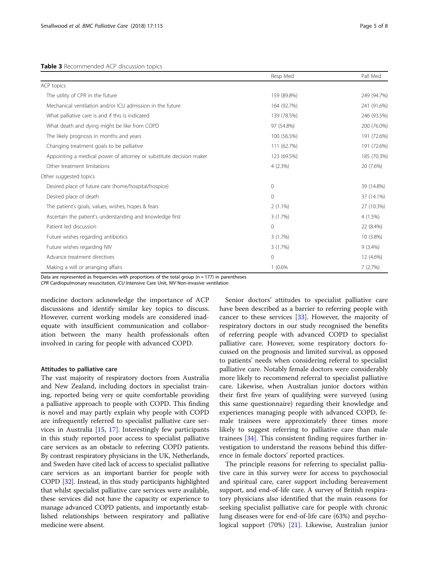## <span id="page-4-0"></span>Table 3 Recommended ACP discussion topics

|                                                                     | Resp Med     | Pall Med    |
|---------------------------------------------------------------------|--------------|-------------|
| ACP topics                                                          |              |             |
| The utility of CPR in the future                                    | 159 (89.8%)  | 249 (94.7%) |
| Mechanical ventilation and/or ICU admission in the future           | 164 (92.7%)  | 241 (91.6%) |
| What palliative care is and if this is indicated                    | 139 (78.5%)  | 246 (93.5%) |
| What death and dying might be like from COPD                        | 97 (54.8%)   | 200 (76.0%) |
| The likely prognosis in months and years                            | 100 (56.5%)  | 191 (72.6%) |
| Changing treatment goals to be palliative                           | 111 (62.7%)  | 191 (72.6%) |
| Appointing a medical power of attorney or substitute decision maker | 123 (69.5%)  | 185 (70.3%) |
| Other treatment limitations                                         | 4(2.3%)      | 20 (7.6%)   |
| Other suggested topics                                              |              |             |
| Desired place of future care (home/hospital/hospice)                | 0            | 39 (14.8%)  |
| Desired place of death                                              | $\mathbf{0}$ | 37 (14.1%)  |
| The patient's goals, values, wishes, hopes & fears                  | $2(1.1\%)$   | 27 (10.3%)  |
| Ascertain the patient's understanding and knowledge first           | 3(1.7%)      | 4 (1.5%)    |
| Patient led discussion                                              | $\Omega$     | 22 (8.4%)   |
| Future wishes regarding antibiotics                                 | 3(1.7%)      | 10 (3.8%)   |
| Future wishes regarding NIV                                         | 3(1.7%)      | $9(3.4\%)$  |
| Advance treatment directives                                        | 0            | 12 (4.6%)   |
| Making a will or arranging affairs                                  | 1(0.6%       | 7(2.7%)     |

Data are represented as frequencies with proportions of the total group ( $n = 177$ ) in parentheses

CPR Cardiopulmonary resuscitation, ICU Intensive Care Unit, NIV Non-invasive ventilation

medicine doctors acknowledge the importance of ACP discussions and identify similar key topics to discuss. However, current working models are considered inadequate with insufficient communication and collaboration between the many health professionals often involved in caring for people with advanced COPD.

## Attitudes to palliative care

The vast majority of respiratory doctors from Australia and New Zealand, including doctors in specialist training, reported being very or quite comfortable providing a palliative approach to people with COPD. This finding is novel and may partly explain why people with COPD are infrequently referred to specialist palliative care services in Australia [\[15](#page-6-0), [17\]](#page-6-0). Interestingly few participants in this study reported poor access to specialist palliative care services as an obstacle to referring COPD patients. By contrast respiratory physicians in the UK, Netherlands, and Sweden have cited lack of access to specialist palliative care services as an important barrier for people with COPD [[32](#page-7-0)]. Instead, in this study participants highlighted that whilst specialist palliative care services were available, these services did not have the capacity or experience to manage advanced COPD patients, and importantly established relationships between respiratory and palliative medicine were absent.

Senior doctors' attitudes to specialist palliative care have been described as a barrier to referring people with cancer to these services [\[33\]](#page-7-0). However, the majority of respiratory doctors in our study recognised the benefits of referring people with advanced COPD to specialist palliative care. However, some respiratory doctors focussed on the prognosis and limited survival, as opposed to patients' needs when considering referral to specialist palliative care. Notably female doctors were considerably more likely to recommend referral to specialist palliative care. Likewise, when Australian junior doctors within their first five years of qualifying were surveyed (using this same questionnaire) regarding their knowledge and experiences managing people with advanced COPD, female trainees were approximately three times more likely to suggest referring to palliative care than male trainees [[34\]](#page-7-0). This consistent finding requires further investigation to understand the reasons behind this difference in female doctors' reported practices.

The principle reasons for referring to specialist palliative care in this survey were for access to psychosocial and spiritual care, carer support including bereavement support, and end-of-life care. A survey of British respiratory physicians also identified that the main reasons for seeking specialist palliative care for people with chronic lung diseases were for end-of-life care (63%) and psychological support (70%) [\[21\]](#page-6-0). Likewise, Australian junior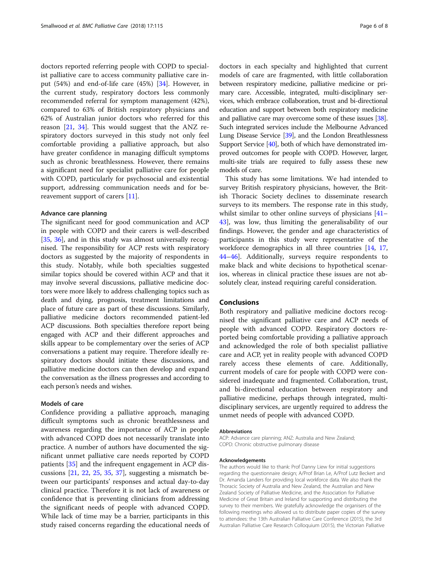doctors reported referring people with COPD to specialist palliative care to access community palliative care input (54%) and end-of-life care (45%) [[34](#page-7-0)]. However, in the current study, respiratory doctors less commonly recommended referral for symptom management (42%), compared to 63% of British respiratory physicians and 62% of Australian junior doctors who referred for this reason [[21](#page-6-0), [34\]](#page-7-0). This would suggest that the ANZ respiratory doctors surveyed in this study not only feel comfortable providing a palliative approach, but also have greater confidence in managing difficult symptoms such as chronic breathlessness. However, there remains a significant need for specialist palliative care for people with COPD, particularly for psychosocial and existential support, addressing communication needs and for bereavement support of carers [[11\]](#page-6-0).

#### Advance care planning

The significant need for good communication and ACP in people with COPD and their carers is well-described [[35,](#page-7-0) [36](#page-7-0)], and in this study was almost universally recognised. The responsibility for ACP rests with respiratory doctors as suggested by the majority of respondents in this study. Notably, while both specialties suggested similar topics should be covered within ACP and that it may involve several discussions, palliative medicine doctors were more likely to address challenging topics such as death and dying, prognosis, treatment limitations and place of future care as part of these discussions. Similarly, palliative medicine doctors recommended patient-led ACP discussions. Both specialties therefore report being engaged with ACP and their different approaches and skills appear to be complementary over the series of ACP conversations a patient may require. Therefore ideally respiratory doctors should initiate these discussions, and palliative medicine doctors can then develop and expand the conversation as the illness progresses and according to each person's needs and wishes.

#### Models of care

Confidence providing a palliative approach, managing difficult symptoms such as chronic breathlessness and awareness regarding the importance of ACP in people with advanced COPD does not necessarily translate into practice. A number of authors have documented the significant unmet palliative care needs reported by COPD patients [[35\]](#page-7-0) and the infrequent engagement in ACP discussions [[21,](#page-6-0) [22](#page-6-0), [25,](#page-6-0) [35,](#page-7-0) [37](#page-7-0)], suggesting a mismatch between our participants' responses and actual day-to-day clinical practice. Therefore it is not lack of awareness or confidence that is preventing clinicians from addressing the significant needs of people with advanced COPD. While lack of time may be a barrier, participants in this study raised concerns regarding the educational needs of doctors in each specialty and highlighted that current models of care are fragmented, with little collaboration between respiratory medicine, palliative medicine or primary care. Accessible, integrated, multi-disciplinary services, which embrace collaboration, trust and bi-directional education and support between both respiratory medicine and palliative care may overcome some of these issues [\[38](#page-7-0)]. Such integrated services include the Melbourne Advanced Lung Disease Service [\[39](#page-7-0)], and the London Breathlessness Support Service [[40](#page-7-0)], both of which have demonstrated improved outcomes for people with COPD. However, larger, multi-site trials are required to fully assess these new models of care.

This study has some limitations. We had intended to survey British respiratory physicians, however, the British Thoracic Society declines to disseminate research surveys to its members. The response rate in this study, whilst similar to other online surveys of physicians [[41](#page-7-0)– [43\]](#page-7-0), was low, thus limiting the generalisability of our findings. However, the gender and age characteristics of participants in this study were representative of the workforce demographics in all three countries [[14,](#page-6-0) [17](#page-6-0), [44](#page-7-0)–[46](#page-7-0)]. Additionally, surveys require respondents to make black and white decisions to hypothetical scenarios, whereas in clinical practice these issues are not absolutely clear, instead requiring careful consideration.

#### Conclusions

Both respiratory and palliative medicine doctors recognised the significant palliative care and ACP needs of people with advanced COPD. Respiratory doctors reported being comfortable providing a palliative approach and acknowledged the role of both specialist palliative care and ACP, yet in reality people with advanced COPD rarely access these elements of care. Additionally, current models of care for people with COPD were considered inadequate and fragmented. Collaboration, trust, and bi-directional education between respiratory and palliative medicine, perhaps through integrated, multidisciplinary services, are urgently required to address the unmet needs of people with advanced COPD.

#### Abbreviations

ACP: Advance care planning; ANZ: Australia and New Zealand; COPD: Chronic obstructive pulmonary disease

#### Acknowledgements

The authors would like to thank: Prof Danny Liew for initial suggestions regarding the questionnaire design; A/Prof Brian Le, A/Prof Lutz Beckert and Dr. Amanda Landers for providing local workforce data. We also thank the Thoracic Society of Australia and New Zealand, the Australian and New Zealand Society of Palliative Medicine, and the Association for Palliative Medicine of Great Britain and Ireland for supporting and distributing the survey to their members. We gratefully acknowledge the organisers of the following meetings who allowed us to distribute paper copies of the survey to attendees: the 13th Australian Palliative Care Conference (2015), the 3rd Australian Palliative Care Research Colloquium (2015), the Victorian Palliative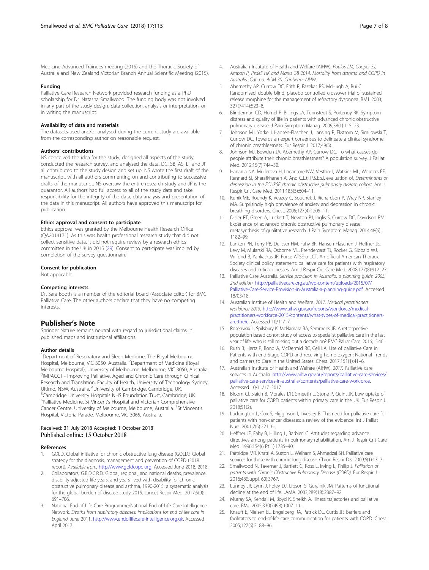#### <span id="page-6-0"></span>Funding

Palliative Care Research Network provided research funding as a PhD scholarship for Dr. Natasha Smallwood. The funding body was not involved in any part of the study design, data collection, analysis or interpretation, or in writing the manuscript.

#### Availability of data and materials

The datasets used and/or analysed during the current study are available from the corresponding author on reasonable request.

#### Authors' contributions

NS conceived the idea for the study, designed all aspects of the study, conducted the research survey, and analysed the data. DC, SB, AS, LI, and JP all contributed to the study design and set up. NS wrote the first draft of the manuscript, with all authors commenting on and contributing to successive drafts of the manuscript. NS oversaw the entire research study and JP is the guarantor. All authors had full access to all of the study data and take responsibility for the integrity of the data, data analysis and presentation of the data in this manuscript. All authors have approved this manuscript for publication.

#### Ethics approval and consent to participate

Ethics approval was granted by the Melbourne Health Research Office (QA2014171). As this was health professional research study that did not collect sensitive data, it did not require review by a research ethics committee in the UK in 2015 [[29\]](#page-7-0). Consent to participate was implied by completion of the survey questionnaire.

#### Consent for publication

Not applicable.

#### Competing interests

Dr. Sara Booth is a member of the editorial board (Associate Editor) for BMC Palliative Care. The other authors declare that they have no competing interests.

## Publisher's Note

Springer Nature remains neutral with regard to jurisdictional claims in published maps and institutional affiliations.

#### Author details

<sup>1</sup>Department of Respiratory and Sleep Medicine, The Royal Melbourne Hospital, Melbourne, VIC 3050, Australia. <sup>2</sup>Department of Medicine (Royal Melbourne Hospital), University of Melbourne, Melbourne, VIC 3050, Australia. <sup>3</sup>IMPACCT - Improving Palliative, Aged and Chronic Care through Clinical Research and Translation, Faculty of Health, University of Technology Sydney, Ultimo, NSW, Australia. <sup>4</sup>University of Cambridge, Cambridge, UK.<br><sup>5</sup>Cambridge, University Hespitals NHS Foundation Trust, Cambridge <sup>5</sup> Cambridge University Hospitals NHS Foundation Trust, Cambridge, UK. 6 Palliative Medicine, St Vincent's Hospital and Victorian Comprehensive Cancer Centre, University of Melbourne, Melbourne, Australia. <sup>7</sup>St Vincent's Hospital, Victoria Parade, Melbourne, VIC 3065, Australia.

## Received: 31 July 2018 Accepted: 1 October 2018 Published online: 15 October 2018

#### References

- 1. GOLD, Global initiative for chronic obstructive lung disease (GOLD). Global strategy for the diagnosis, management and prevention of COPD (2018 report). Available from: <http://www.goldcopd.org>. Accessed June 2018. 2018.
- 2. Collaborators, G.B.D.C.R.D. Global, regional, and national deaths, prevalence, disability-adjusted life years, and years lived with disability for chronic obstructive pulmonary disease and asthma, 1990-2015: a systematic analysis for the global burden of disease study 2015. Lancet Respir Med. 2017;5(9): 691–706.
- National End of Life Care Programme/National End of Life Care Intelligence Network. Deaths from respiratory diseases: implications for end of life care in England. June 2011. <http://www.endoflifecare-intelligence.org.uk>. Accessed April 2017.
- 4. Australian Institute of Health and Welfare (AIHW): Poulos LM, Cooper SJ, Ampon R, Redell HK and Marks GB 2014. Mortality from asthma and COPD in Australia. Cat. no. ACM 30. Canberra: AIHW.
- 5. Abernethy AP, Currow DC, Frith P, Fazekas BS, McHugh A, Bui C. Randomised, double blind, placebo controlled crossover trial of sustained release morphine for the management of refractory dyspnoea. BMJ. 2003; 327(7414):523–8.
- 6. Blinderman CD, Homel P, Billings JA, Tennstedt S, Portenoy RK. Symptom distress and quality of life in patients with advanced chronic obstructive pulmonary disease. J Pain Symptom Manag. 2009;38(1):115–23.
- Johnson MJ, Yorke J, Hansen-Flaschen J, Lansing R, Ekstrom M, Similowski T, Currow DC. Towards an expert consensus to delineate a clinical syndrome of chronic breathlessness. Eur Respir J. 2017;49(5).
- 8. Johnson MJ, Bowden JA, Abernethy AP, Currow DC. To what causes do people attribute their chronic breathlessness? A population survey. J Palliat Med. 2012;15(7):744–50.
- 9. Hanania NA, Mullerova H, Locantore NW, Vestbo J, Watkins ML, Wouters EF, Rennard SI, Sharafkhaneh A. And C.L.t.I.P.S.E.s.i. evaluation of, Determinants of depression in the ECLIPSE chronic obstructive pulmonary disease cohort. Am J Respir Crit Care Med. 2011;183(5):604–11.
- 10. Kunik ME, Roundy K, Veazey C, Souchek J, Richardson P, Wray NP, Stanley MA. Surprisingly high prevalence of anxiety and depression in chronic breathing disorders. Chest. 2005;127(4):1205–11.
- 11. Disler RT, Green A, Luckett T, Newton PJ, Inglis S, Currow DC, Davidson PM. Experience of advanced chronic obstructive pulmonary disease: metasynthesis of qualitative research. J Pain Symptom Manag. 2014;48(6): 1182–99.
- 12. Lanken PN, Terry PB, Delisser HM, Fahy BF, Hansen-Flaschen J, Heffner JE, Levy M, Mularski RA, Osborne ML, Prendergast TJ, Rocker G, Sibbald WJ, Wilfond B, Yankaskas JR, Force ATSE-o-LCT. An official American Thoracic Society clinical policy statement: palliative care for patients with respiratory diseases and critical illnesses. Am J Respir Crit Care Med. 2008;177(8):912–27.
- 13. Palliative Care Australia. Service provision in Australia: a planning quide. 2003. 2nd edition. [http://palliativecare.org.au/wp-content/uploads/2015/07/](http://palliativecare.org.au/wp-content/uploads/2015/07/Palliative-Care-Service-Provision-in-Australia-a-planning-guide.pdf) [Palliative-Care-Service-Provision-in-Australia-a-planning-guide.pdf](http://palliativecare.org.au/wp-content/uploads/2015/07/Palliative-Care-Service-Provision-in-Australia-a-planning-guide.pdf). Accessed 18/03/18.
- 14. Australian Institue of Health and Welfare. 2017. Medical practitioners workforce 2015. [http://www.aihw.gov.au/reports/workforce/medical](http://www.aihw.gov.au/reports/workforce/medical-practitioners-workforce-2015/contents/what-types-of-medical-practitioners-are-there)[practitioners-workforce-2015/contents/what-types-of-medical-practitioners](http://www.aihw.gov.au/reports/workforce/medical-practitioners-workforce-2015/contents/what-types-of-medical-practitioners-are-there)[are-there](http://www.aihw.gov.au/reports/workforce/medical-practitioners-workforce-2015/contents/what-types-of-medical-practitioners-are-there). Accessed 10/11/17.
- 15. Rosenwax L, Spilsbury K, McNamara BA, Semmens JB. A retrospective population based cohort study of access to specialist palliative care in the last year of life: who is still missing out a decade on? BMC Palliat Care. 2016;15:46.
- 16. Rush B, Hertz P, Bond A, McDermid RC, Celi LA. Use of palliative Care in Patients with end-Stage COPD and receiving home oxygen: National Trends and barriers to Care in the United States. Chest. 2017;151(1):41–6.
- 17. Australian Institute of Health and Welfare (AIHW). 2017. Palliative care services in Australia. [http://www.aihw.gov.au/reports/palliative-care-services/](http://www.aihw.gov.au/reports/palliative-care-services/palliative-care-services-in-australia/contents/palliative-care-workforce) [palliative-care-services-in-australia/contents/palliative-care-workforce.](http://www.aihw.gov.au/reports/palliative-care-services/palliative-care-services-in-australia/contents/palliative-care-workforce) Accessed 10/11/17. 2017.
- 18. Bloom CI, Slaich B, Morales DR, Smeeth L, Stone P, Quint JK. Low uptake of palliative care for COPD patients within primary care in the UK. Eur Respir J. 2018;51(2).
- 19. Luddington L, Cox S, Higginson I, Livesley B. The need for palliative care for patients with non-cancer diseases: a review of the evidence. Int J Palliat Nurs. 2001;7(5):221–6.
- 20. Heffner JE, Fahy B, Hilling L, Barbieri C. Attitudes regarding advance directives among patients in pulmonary rehabilitation. Am J Respir Crit Care Med. 1996;154(6 Pt 1):1735–40.
- 21. Partridge MR, Khatri A, Sutton L, Welham S, Ahmedzai SH. Palliative care services for those with chronic lung disease. Chron Respir Dis. 2009;6(1):13–7.
- 22. Smallwood N, Taverner J, Bartlett C, Ross L, Irving L, Philip J. Palliation of patients with Chronic Obstructive Pulmonary Disease (COPD). Eur Respir J. 2016;48(Suppl. 60):3767.
- 23. Lunney JR, Lynn J, Foley DJ, Lipson S, Guralnik JM. Patterns of functional decline at the end of life. JAMA. 2003;289(18):2387–92.
- 24. Murray SA, Kendall M, Boyd K, Sheikh A. Illness trajectories and palliative care. BMJ. 2005;330(7498):1007–11.
- 25. Knauft E, Nielsen EL, Engelberg RA, Patrick DL, Curtis JR. Barriers and facilitators to end-of-life care communication for patients with COPD. Chest. 2005;127(6):2188–96.